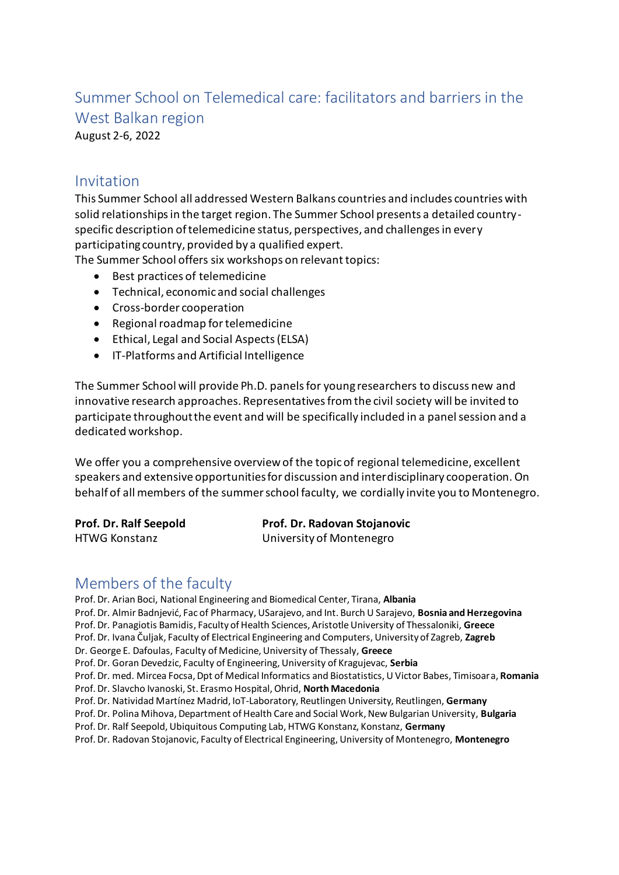# Summer School on Telemedical care: facilitators and barriers in the West Balkan region

August 2-6, 2022

#### Invitation

This Summer School all addressed Western Balkans countries and includes countries with solid relationships in the target region. The Summer School presents a detailed countryspecific description of telemedicine status, perspectives, and challenges in every participating country, provided by a qualified expert.

The Summer School offers six workshops on relevant topics:

- Best practices of telemedicine
- Technical, economic and social challenges
- Cross-border cooperation
- Regional roadmap for telemedicine
- Ethical, Legal and Social Aspects (ELSA)
- IT-Platforms and Artificial Intelligence

The Summer School will provide Ph.D. panels for young researchers to discuss new and innovative research approaches. Representatives from the civil society will be invited to participate throughout the event and will be specifically included in a panel session and a dedicated workshop.

We offer you a comprehensive overview of the topic of regional telemedicine, excellent speakers and extensive opportunities for discussion and interdisciplinary cooperation. On behalf of all members of the summer school faculty, we cordially invite you to Montenegro.

| Prof. Dr. Ralf Seepold | Prof. Dr. Radovan Stojanovic |
|------------------------|------------------------------|
| HTWG Konstanz          | University of Montenegro     |

#### Members of the faculty

Prof. Dr. Arian Boci, National Engineering and Biomedical Center, Tirana, **Albania** Prof. Dr. Almir Badnjević, Fac of Pharmacy, USarajevo, and Int. Burch U Sarajevo, **Bosnia and Herzegovina** Prof. Dr. Panagiotis Bamidis, Faculty of Health Sciences, Aristotle University of Thessaloniki, **Greece** Prof. Dr. Ivana Čuljak, Faculty of Electrical Engineering and Computers, University of Zagreb, **Zagreb** Dr. George E. Dafoulas, Faculty of Medicine, University of Thessaly, **Greece** Prof. Dr. Goran Devedzic, Faculty of Engineering, University of Kragujevac, **Serbia** Prof. Dr. med. Mircea Focsa, Dpt of Medical Informatics and Biostatistics, U Victor Babes, Timisoara, **Romania** Prof. Dr. Slavcho Ivanoski, St. Erasmo Hospital, Ohrid, **North Macedonia** Prof. Dr. Natividad Martínez Madrid, IoT-Laboratory, Reutlingen University, Reutlingen, **Germany** Prof. Dr. Polina Mihova, Department of Health Care and Social Work, New Bulgarian University, **Bulgaria** Prof. Dr. Ralf Seepold, Ubiquitous Computing Lab, HTWG Konstanz, Konstanz, **Germany** Prof. Dr. Radovan Stojanovic, Faculty of Electrical Engineering, University of Montenegro, **Montenegro**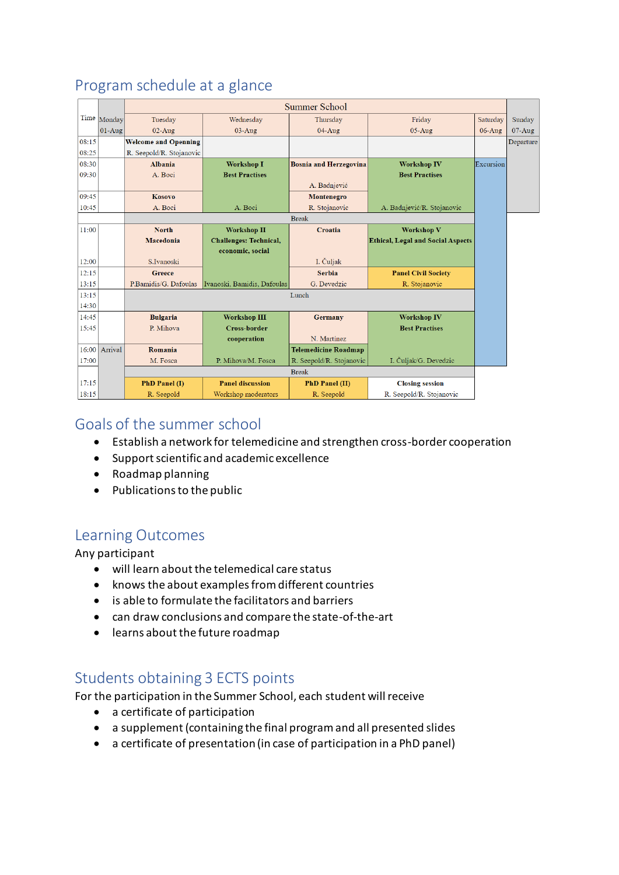|       |               | <b>Summer School</b>        |                               |                               |                                          |           |           |
|-------|---------------|-----------------------------|-------------------------------|-------------------------------|------------------------------------------|-----------|-----------|
|       | Time Monday   | Tuesday                     | Wednesday                     | Thursday                      | Friday                                   | Saturday  | Sunday    |
|       | $01-Au$ g     | $02-Au$ g                   | $03-Au$ g                     | 04-Aug                        | $05-Au$ g                                | $06-Au$ g | $07-Aug$  |
| 08:15 |               | <b>Welcome and Openning</b> |                               |                               |                                          |           | Departure |
| 08:25 |               | R. Seepold/R. Stojanovic    |                               |                               |                                          |           |           |
| 08:30 |               | <b>Albania</b>              | <b>Workshop I</b>             | <b>Bosnia and Herzegovina</b> | <b>Workshop IV</b>                       | Excursion |           |
| 09:30 |               | A. Boci                     | <b>Best Practises</b>         |                               | <b>Best Practises</b>                    |           |           |
|       |               |                             |                               | A. Badnjević                  |                                          |           |           |
| 09:45 |               | Kosovo                      |                               | Montenegro                    |                                          |           |           |
| 10:45 |               | A. Boci                     | A. Boci                       | R. Stojanovic                 | A. Badnjević/R. Stojanovic               |           |           |
|       |               | <b>Break</b>                |                               |                               |                                          |           |           |
| 11:00 |               | <b>North</b>                | <b>Workshop II</b>            | Croatia                       | <b>Workshop V</b>                        |           |           |
|       |               | Macedonia                   | <b>Challenges: Technical,</b> |                               | <b>Ethical, Legal and Social Aspects</b> |           |           |
|       |               |                             | economic, social              |                               |                                          |           |           |
| 12:00 |               | S.Ivanoski                  |                               | I. Čuljak                     |                                          |           |           |
| 12:15 |               | Greece                      |                               | <b>Serbia</b>                 | <b>Panel Civil Society</b>               |           |           |
| 13:15 |               | P.Bamidis/G. Dafoulas       | Ivanoski, Bamidis, Dafoulas   | G. Devedzic                   | R. Stojanovic                            |           |           |
| 13:15 |               | Lunch                       |                               |                               |                                          |           |           |
| 14:30 |               |                             |                               |                               |                                          |           |           |
| 14:45 |               | <b>Bulgaria</b>             | <b>Workshop III</b>           | <b>Germany</b>                | <b>Workshop IV</b>                       |           |           |
| 15:45 |               | P. Mihova                   | <b>Cross-border</b>           |                               | <b>Best Practises</b>                    |           |           |
|       |               |                             | cooperation                   | N. Martínez                   |                                          |           |           |
|       | 16:00 Arrival | Romania                     |                               | <b>Telemedicine Roadmap</b>   |                                          |           |           |
| 17:00 |               | M. Fosca                    | P. Mihova/M. Fosca            | R. Seepold/R. Stojanovic      | I. Čuljak/G. Devedzic                    |           |           |
|       |               | <b>Break</b>                |                               |                               |                                          |           |           |
| 17:15 |               | PhD Panel (I)               | <b>Panel discussion</b>       | <b>PhD Panel (II)</b>         | <b>Closing session</b>                   |           |           |
| 18:15 |               | R. Seepold                  | Workshop moderators           | R. Seepold                    | R. Seepold/R. Stojanovic                 |           |           |

# Program schedule at a glance

#### Goals of the summer school

- Establish a network for telemedicine and strengthen cross-border cooperation
- Support scientific and academic excellence
- Roadmap planning
- $\bullet$  Publications to the public

#### Learning Outcomes

Any participant

- will learn about the telemedical care status
- knows the about examples from different countries
- is able to formulate the facilitators and barriers
- can draw conclusions and compare the state-of-the-art
- learns about the future roadmap

#### Students obtaining 3 ECTS points

For the participation in the Summer School, each student will receive

- a certificate of participation
- a supplement (containing the final program and all presented slides
- a certificate of presentation (in case of participation in a PhD panel)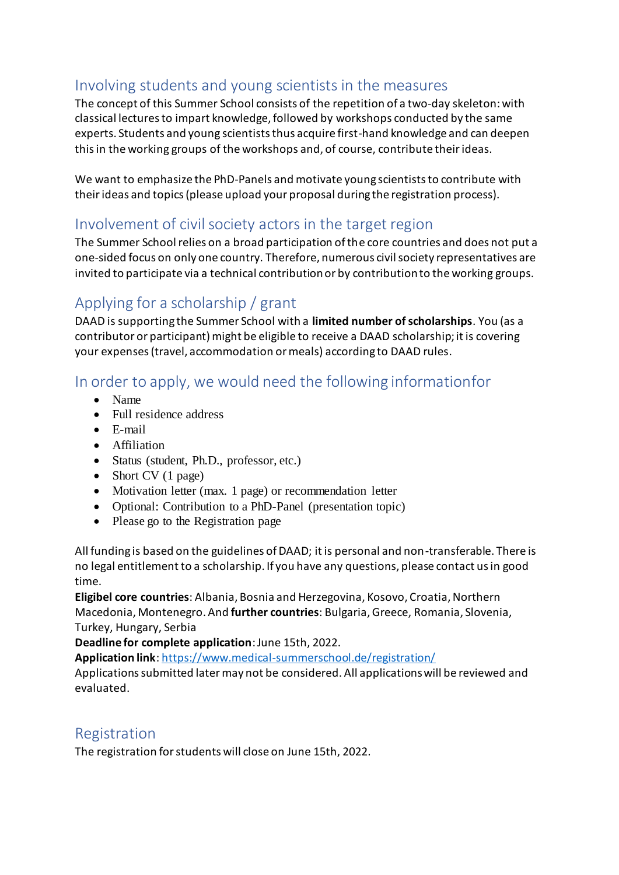### Involving students and young scientists in the measures

The concept of this Summer School consists of the repetition of a two-day skeleton: with classical lectures to impart knowledge, followed by workshops conducted by the same experts. Students and young scientists thus acquire first-hand knowledge and can deepen this in the working groups of the workshops and, of course, contribute their ideas.

We want to emphasize the PhD-Panels and motivate young scientists to contribute with their ideas and topics (please upload your proposal during the registration process).

### Involvement of civil society actors in the target region

The Summer School relies on a broad participation of the core countries and does not put a one-sided focus on only one country. Therefore, numerous civil society representatives are invited to participate via a technical contribution or by contribution to the working groups.

## Applying for a scholarship / grant

DAAD is supporting the Summer School with a **limited number of scholarships**. You (as a contributor or participant) might be eligible to receive a DAAD scholarship; it is covering your expenses (travel, accommodation or meals) according to DAAD rules.

# In order to apply, we would need the following informationfor

- Name
- Full residence address
- E-mail
- Affiliation
- Status (student, Ph.D., professor, etc.)
- $\bullet$  Short CV (1 page)
- Motivation letter (max. 1 page) or recommendation letter
- Optional: Contribution to a PhD-Panel (presentation topic)
- Please go to the Registration page

All funding is based on the guidelines of DAAD; it is personal and non-transferable. There is no legal entitlement to a scholarship. If you have any questions, please contact us in good time.

**Eligibel core countries**: Albania, Bosnia and Herzegovina, Kosovo, Croatia, Northern Macedonia, Montenegro. And **further countries**: Bulgaria, Greece, Romania, Slovenia, Turkey, Hungary, Serbia

**Deadline for complete application**: June 15th, 2022.

**Application link**[: https://www.medical-summerschool.de/registration/](https://www.medical-summerschool.de/registration/)

Applications submitted later may not be considered. All applications will be reviewed and evaluated.

#### Registration

The registration for students will close on June 15th, 2022.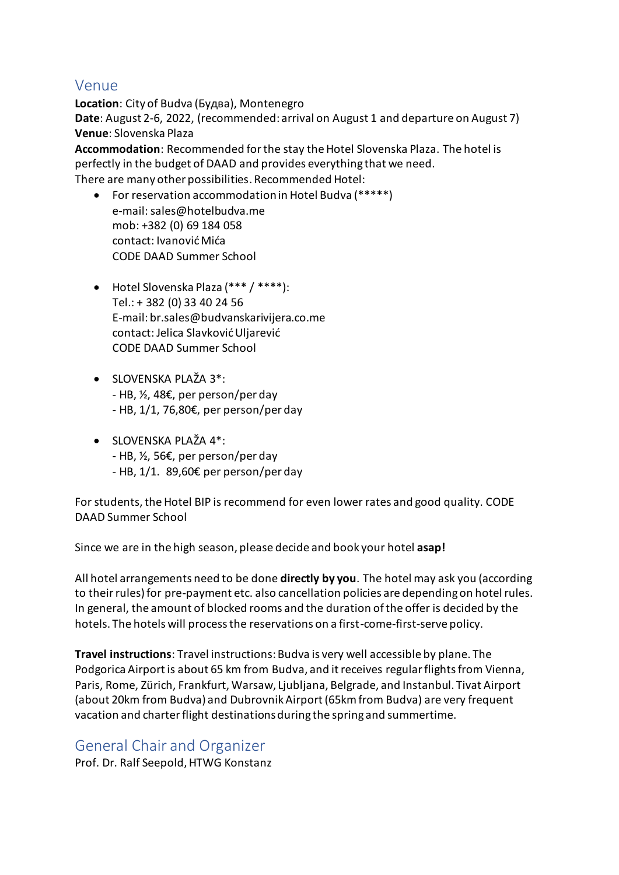#### Venue

**Location**: City of Budva (Будва), Montenegro **Date**: August 2-6, 2022, (recommended: arrival on August 1 and departure on August 7) **Venue**: Slovenska Plaza

**Accommodation**: Recommended for the stay the Hotel Slovenska Plaza. The hotel is perfectly in the budget of DAAD and provides everything that we need. There are many other possibilities. Recommended Hotel:

- For reservation accommodation in Hotel Budva (\*\*\*\*\*) e-mail: sales@hotelbudva.me mob: +382 (0) 69 184 058 contact: Ivanović Mića CODE DAAD Summer School
- Hotel Slovenska Plaza (\*\*\* / \*\*\*\*): Tel.: + 382 (0) 33 40 24 56 E-mail: br.sales@budvanskarivijera.co.me contact: Jelica Slavković Uljarević CODE DAAD Summer School
- SLOVENSKA PLAŽA 3\*: - HB, ½, 48€, per person/per day - HB, 1/1, 76,80€, per person/per day
- $\bullet$  SLOVENSKA PLAŽA 4\*: - HB, ½, 56€, per person/per day
	- HB, 1/1. 89,60€ per person/per day

For students, the Hotel BIP is recommend for even lower rates and good quality. CODE DAAD Summer School

Since we are in the high season, please decide and book your hotel **asap!**

All hotel arrangements need to be done **directly by you**. The hotel may ask you (according to their rules) for pre-payment etc. also cancellation policies are depending on hotel rules. In general, the amount of blocked rooms and the duration of the offer is decided by the hotels. The hotels will process the reservations on a first-come-first-serve policy.

**Travel instructions**: Travel instructions: Budva is very well accessible by plane. The Podgorica Airport is about 65 km from Budva, and it receives regular flights from Vienna, Paris, Rome, Zürich, Frankfurt, Warsaw, Ljubljana, Belgrade, and Instanbul. Tivat Airport (about 20km from Budva) and Dubrovnik Airport (65km from Budva) are very frequent vacation and charter flight destinations during the spring and summertime.

General Chair and Organizer Prof. Dr. Ralf Seepold, HTWG Konstanz